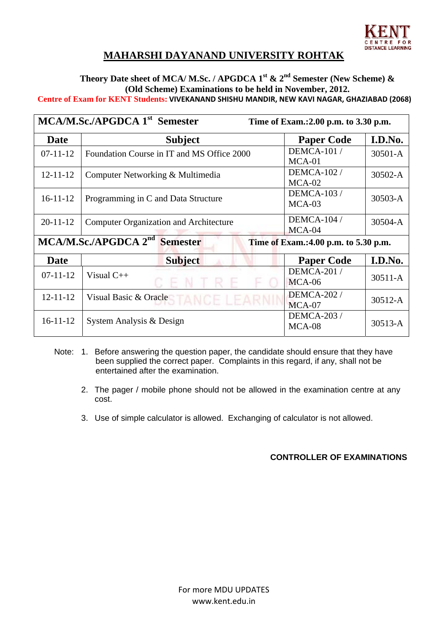

# **MAHARSHI DAYANAND UNIVERSITY ROHTAK**

### Theory Date sheet of MCA/ M.Sc. / APGDCA 1<sup>st</sup> & 2<sup>nd</sup> Semester (New Scheme) & **(Old Scheme) Examinations to be held in November, 2012. Centre of Exam for KENT Students: VIVEKANAND SHISHU MANDIR, NEW KAVI NAGAR, GHAZIABAD (2068)**

| MCA/M.Sc./APGDCA 1 <sup>st</sup> Semester<br>Time of Exam.:2.00 p.m. to 3.30 p.m.            |                                               |                                |             |  |  |
|----------------------------------------------------------------------------------------------|-----------------------------------------------|--------------------------------|-------------|--|--|
| Date                                                                                         | <b>Subject</b>                                | <b>Paper Code</b>              | I.D.No.     |  |  |
| $07-11-12$                                                                                   | Foundation Course in IT and MS Office 2000    | <b>DEMCA-101 /</b><br>$MCA-01$ | $30501 - A$ |  |  |
| $12 - 11 - 12$                                                                               | Computer Networking & Multimedia              | <b>DEMCA-102 /</b><br>$MCA-02$ | 30502-A     |  |  |
| $16 - 11 - 12$                                                                               | Programming in C and Data Structure           | <b>DEMCA-103 /</b><br>$MCA-03$ | 30503-A     |  |  |
| $20 - 11 - 12$                                                                               | <b>Computer Organization and Architecture</b> | <b>DEMCA-104 /</b><br>$MCA-04$ | 30504-A     |  |  |
| MCA/M.Sc./APGDCA 2 <sup>nd</sup><br><b>Semester</b><br>Time of Exam.: 4.00 p.m. to 5.30 p.m. |                                               |                                |             |  |  |
| <b>Date</b>                                                                                  | <b>Subject</b>                                | <b>Paper Code</b>              | I.D.No.     |  |  |
| $07 - 11 - 12$                                                                               | Visual $C_{++}$                               | <b>DEMCA-201 /</b><br>$MCA-06$ | $30511 - A$ |  |  |
| $12 - 11 - 12$                                                                               | Visual Basic & Oracle                         | <b>DEMCA-202 /</b><br>$MCA-07$ | $30512 - A$ |  |  |
| $16 - 11 - 12$                                                                               | System Analysis & Design                      | <b>DEMCA-203 /</b><br>MCA-08   | $30513 - A$ |  |  |

- Note: 1. Before answering the question paper, the candidate should ensure that they have been supplied the correct paper. Complaints in this regard, if any, shall not be entertained after the examination.
	- 2. The pager / mobile phone should not be allowed in the examination centre at any cost.
	- 3. Use of simple calculator is allowed. Exchanging of calculator is not allowed.

#### **CONTROLLER OF EXAMINATIONS**